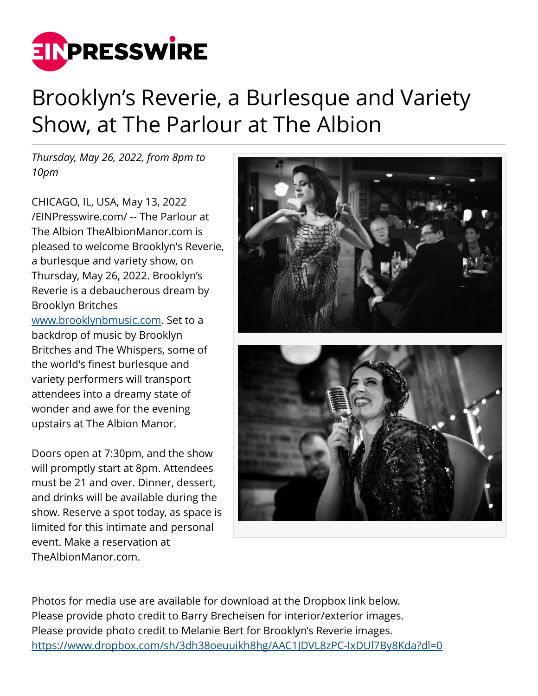

## Brooklyn's Reverie, a Burlesque and Variety Show, at The Parlour at The Albion

*Thursday, May 26, 2022, from 8pm to 10pm*

CHICAGO, IL, USA, May 13, 2022 [/EINPresswire.com/](http://www.einpresswire.com) -- The Parlour at The Albion TheAlbionManor.com is pleased to welcome Brooklyn's Reverie, a burlesque and variety show, on Thursday, May 26, 2022. Brooklyn's Reverie is a debaucherous dream by Brooklyn Britches [www.brooklynbmusic.com.](http://www.brooklynbmusic.com) Set to a backdrop of music by Brooklyn Britches and The Whispers, some of the world's finest burlesque and variety performers will transport attendees into a dreamy state of wonder and awe for the evening upstairs at The Albion Manor.

Doors open at 7:30pm, and the show will promptly start at 8pm. Attendees must be 21 and over. Dinner, dessert, and drinks will be available during the show. Reserve a spot today, as space is limited for this intimate and personal event. Make a reservation at TheAlbionManor.com.



Photos for media use are available for download at the Dropbox link below. Please provide photo credit to Barry Brecheisen for interior/exterior images. Please provide photo credit to Melanie Bert for Brooklyn's Reverie images. <https://www.dropbox.com/sh/3dh38oeuuikh8hg/AAC1JDVL8zPC-IxDUl7By8Kda?dl=0>